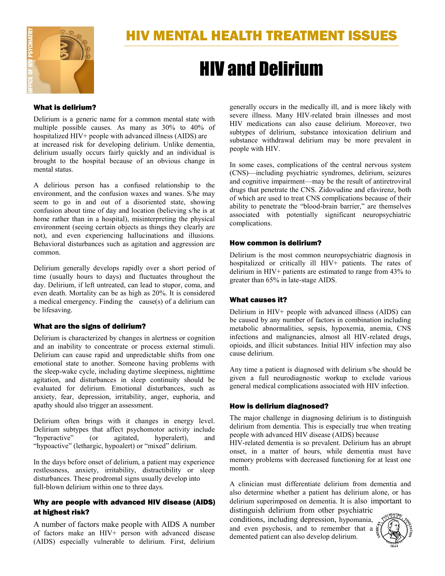

# HIV and Delirium

#### What is delirium?

Delirium is a generic name for a common mental state with multiple possible causes. As many as 30% to 40% of hospitalized HIV+ people with advanced illness (AIDS) are at increased risk for developing delirium. Unlike dementia, delirium usually occurs fairly quickly and an individual is brought to the hospital because of an obvious change in mental status.

A delirious person has a confused relationship to the environment, and the confusion waxes and wanes. S/he may seem to go in and out of a disoriented state, showing confusion about time of day and location (believing s/he is at home rather than in a hospital), misinterpreting the physical environment (seeing certain objects as things they clearly are not), and even experiencing hallucinations and illusions. Behavioral disturbances such as agitation and aggression are common.

Delirium generally develops rapidly over a short period of time (usually hours to days) and fluctuates throughout the day. Delirium, if left untreated, can lead to stupor, coma, and even death. Mortality can be as high as 20%. It is considered a medical emergency. Finding the cause(s) of a delirium can be lifesaving.

## What are the signs of delirium?

Delirium is characterized by changes in alertness or cognition and an inability to concentrate or process external stimuli. Delirium can cause rapid and unpredictable shifts from one emotional state to another. Someone having problems with the sleep-wake cycle, including daytime sleepiness, nighttime agitation, and disturbances in sleep continuity should be evaluated for delirium. Emotional disturbances, such as anxiety, fear, depression, irritability, anger, euphoria, and apathy should also trigger an assessment.

Delirium often brings with it changes in energy level. Delirium subtypes that affect psychomotor activity include "hyperactive" (or agitated, hyperalert), and "hypoactive" (lethargic, hypoalert) or "mixed" delirium.

In the days before onset of delirium, a patient may experience restlessness, anxiety, irritability, distractibility or sleep disturbances. These prodromal signs usually develop into full-blown delirium within one to three days.

## Why are people with advanced HIV disease (AIDS) at highest risk?

A number of factors make people with AIDS A number of factors make an HIV+ person with advanced disease (AIDS) especially vulnerable to delirium. First, delirium generally occurs in the medically ill, and is more likely with severe illness. Many HIV-related brain illnesses and most HIV medications can also cause delirium. Moreover, two subtypes of delirium, substance intoxication delirium and substance withdrawal delirium may be more prevalent in people with HIV.

In some cases, complications of the central nervous system (CNS)—including psychiatric syndromes, delirium, seizures and cognitive impairment—may be the result of antiretroviral drugs that penetrate the CNS. Zidovudine and efavirenz, both of which are used to treat CNS complications because of their ability to penetrate the "blood-brain barrier," are themselves associated with potentially significant neuropsychiatric complications.

### How common is delirium?

Delirium is the most common neuropsychiatric diagnosis in hospitalized or critically ill HIV+ patients. The rates of delirium in HIV+ patients are estimated to range from 43% to greater than 65% in late-stage AIDS.

## What causes it?

Delirium in HIV+ people with advanced illness (AIDS) can be caused by any number of factors in combination including metabolic abnormalities, sepsis, hypoxemia, anemia, CNS infections and malignancies, almost all HIV-related drugs, opioids, and illicit substances. Initial HIV infection may also cause delirium.

Any time a patient is diagnosed with delirium s/he should be given a full neurodiagnostic workup to exclude various general medical complications associated with HIV infection.

## How is delirium diagnosed?

The major challenge in diagnosing delirium is to distinguish delirium from dementia. This is especially true when treating people with advanced HIV disease (AIDS) because

HIV-related dementia is so prevalent. Delirium has an abrupt onset, in a matter of hours, while dementia must have memory problems with decreased functioning for at least one month.

A clinician must differentiate delirium from dementia and also determine whether a patient has delirium alone, or has delirium superimposed on dementia. It is also important to distinguish delirium from other psychiatric

conditions, including depression, hypomania, and even psychosis, and to remember that a demented patient can also develop delirium.